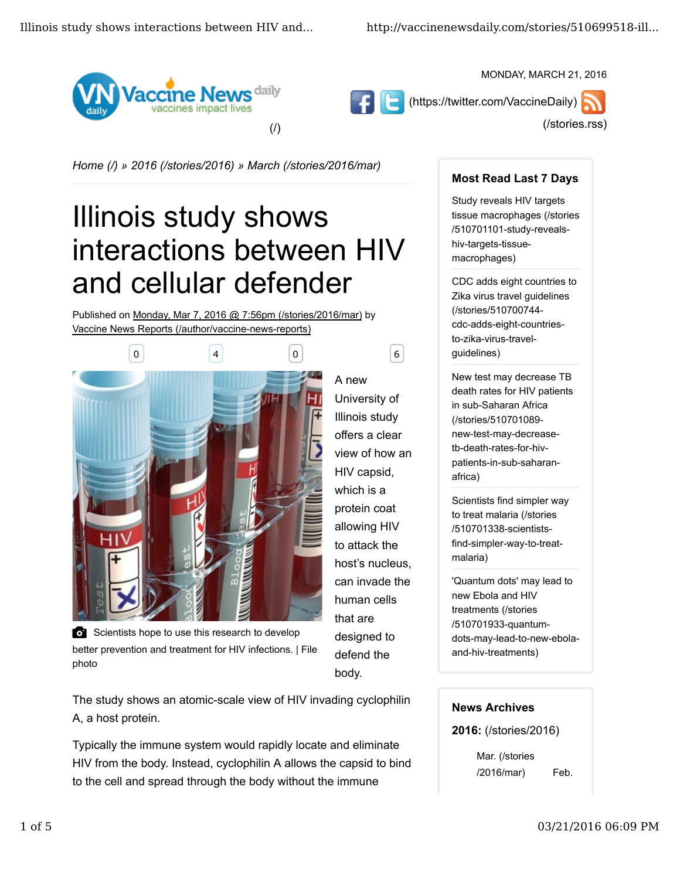



MONDAY, MARCH 21, 2016

(/stories.rss)

*Home (/) » 2016 (/stories/2016) » March (/stories/2016/mar)*

# Illinois study shows interactions between HIV and cellular defender

A new

body.

University of Illinois study offers a clear view of how an HIV capsid, which is a protein coat allowing HIV to attack the host's nucleus, can invade the human cells that are designed to defend the

Published on Monday, Mar 7, 2016 @ 7:56pm (/stories/2016/mar) by Vaccine News Reports (/author/vaccine-news-reports)



Scientists hope to use this research to develop better prevention and treatment for HIV infections. | File photo

The study shows an atomic-scale view of HIV invading cyclophilin A, a host protein.

Typically the immune system would rapidly locate and eliminate HIV from the body. Instead, cyclophilin A allows the capsid to bind to the cell and spread through the body without the immune

## **Most Read Last 7 Days**

Study reveals HIV targets tissue macrophages (/stories /510701101-study-revealshiv-targets-tissuemacrophages)

CDC adds eight countries to Zika virus travel guidelines (/stories/510700744 cdc-adds-eight-countriesto-zika-virus-travelguidelines)

New test may decrease TB death rates for HIV patients in sub-Saharan Africa (/stories/510701089 new-test-may-decreasetb-death-rates-for-hivpatients-in-sub-saharanafrica)

Scientists find simpler way to treat malaria (/stories /510701338-scientistsfind-simpler-way-to-treatmalaria)

'Quantum dots' may lead to new Ebola and HIV treatments (/stories /510701933-quantumdots-may-lead-to-new-ebolaand-hiv-treatments)

## **News Archives**

**2016:** (/stories/2016)

Mar. (/stories /2016/mar) Feb.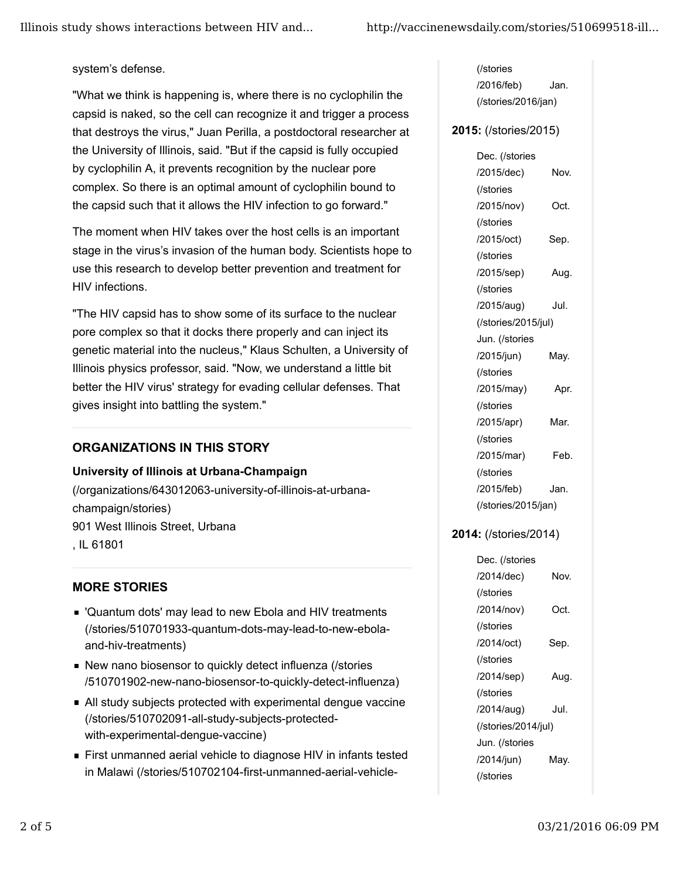system's defense.

"What we think is happening is, where there is no cyclophilin the capsid is naked, so the cell can recognize it and trigger a process that destroys the virus," Juan Perilla, a postdoctoral researcher at the University of Illinois, said. "But if the capsid is fully occupied by cyclophilin A, it prevents recognition by the nuclear pore complex. So there is an optimal amount of cyclophilin bound to the capsid such that it allows the HIV infection to go forward."

The moment when HIV takes over the host cells is an important stage in the virus's invasion of the human body. Scientists hope to use this research to develop better prevention and treatment for HIV infections.

"The HIV capsid has to show some of its surface to the nuclear pore complex so that it docks there properly and can inject its genetic material into the nucleus," Klaus Schulten, a University of Illinois physics professor, said. "Now, we understand a little bit better the HIV virus' strategy for evading cellular defenses. That gives insight into battling the system."

# **ORGANIZATIONS IN THIS STORY**

#### **University of Illinois at Urbana-Champaign**

(/organizations/643012063-university-of-illinois-at-urbanachampaign/stories) 901 West Illinois Street, Urbana , IL 61801

## **MORE STORIES**

- 'Quantum dots' may lead to new Ebola and HIV treatments (/stories/510701933-quantum-dots-may-lead-to-new-ebolaand-hiv-treatments)
- New nano biosensor to quickly detect influenza (/stories /510701902-new-nano-biosensor-to-quickly-detect-influenza)
- All study subjects protected with experimental dengue vaccine (/stories/510702091-all-study-subjects-protectedwith-experimental-dengue-vaccine)
- First unmanned aerial vehicle to diagnose HIV in infants tested in Malawi (/stories/510702104-first-unmanned-aerial-vehicle-

(/stories /2016/feb) Jan. (/stories/2016/jan)

#### **2015:** (/stories/2015)

Dec. (/stories /2015/dec) Nov. (/stories /2015/nov) Oct. (/stories /2015/oct) Sep. (/stories /2015/sep) Aug. (/stories /2015/aug) Jul. (/stories/2015/jul) Jun. (/stories /2015/jun) May. (/stories /2015/may) Apr. (/stories /2015/apr) Mar. (/stories /2015/mar) Feb. (/stories /2015/feb) Jan. (/stories/2015/jan)

## **2014:** (/stories/2014)

Dec. (/stories /2014/dec) Nov. (/stories /2014/nov) Oct. (/stories /2014/oct) Sep. (/stories /2014/sep) Aug. (/stories /2014/aug) Jul. (/stories/2014/jul) Jun. (/stories /2014/jun) May. (/stories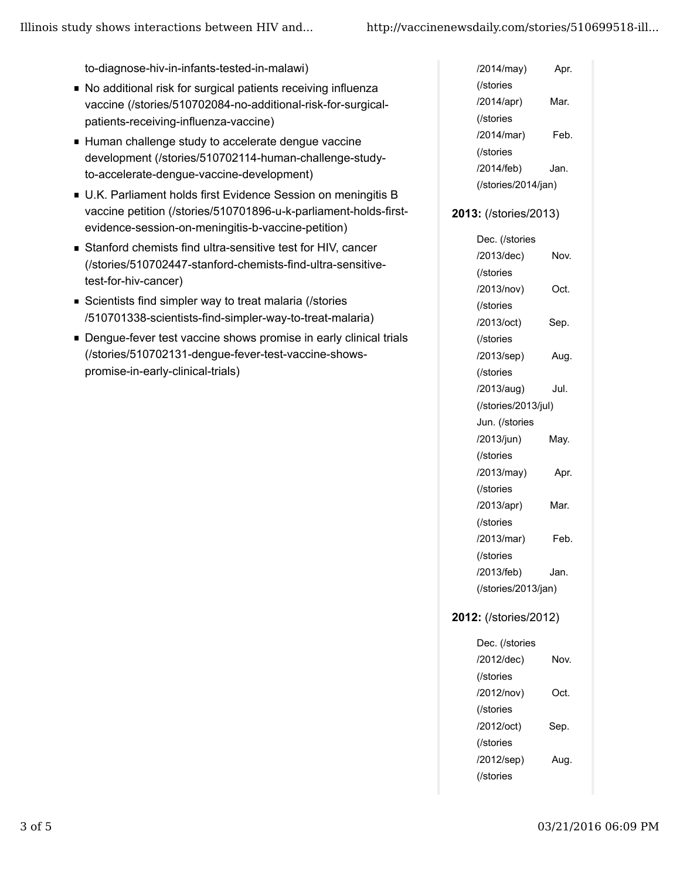to-diagnose-hiv-in-infants-tested-in-malawi)

- No additional risk for surgical patients receiving influenza vaccine (/stories/510702084-no-additional-risk-for-surgicalpatients-receiving-influenza-vaccine)
- Human challenge study to accelerate dengue vaccine development (/stories/510702114-human-challenge-studyto-accelerate-dengue-vaccine-development)
- U.K. Parliament holds first Evidence Session on meningitis B vaccine petition (/stories/510701896-u-k-parliament-holds-firstevidence-session-on-meningitis-b-vaccine-petition)
- Stanford chemists find ultra-sensitive test for HIV, cancer (/stories/510702447-stanford-chemists-find-ultra-sensitivetest-for-hiv-cancer)
- Scientists find simpler way to treat malaria (/stories /510701338-scientists-find-simpler-way-to-treat-malaria)
- **Dengue-fever test vaccine shows promise in early clinical trials** (/stories/510702131-dengue-fever-test-vaccine-showspromise-in-early-clinical-trials)

| /2014/may)          | Apr. |  |
|---------------------|------|--|
| (/stories           |      |  |
| /2014/apr)          | Mar. |  |
| (/stories           |      |  |
| /2014/mar)          | Feb. |  |
| (/stories           |      |  |
| /2014/feb)          | Jan. |  |
| (/stories/2014/jan) |      |  |
|                     |      |  |

#### **2013:** (/stories/2013)

Dec. (/stories /2013/dec) Nov. (/stories /2013/nov) Oct. (/stories /2013/oct) Sep. (/stories /2013/sep) Aug. (/stories /2013/aug) Jul. (/stories/2013/jul) Jun. (/stories /2013/jun) May. (/stories /2013/may) Apr. (/stories /2013/apr) Mar. (/stories /2013/mar) Feb. (/stories /2013/feb) Jan. (/stories/2013/jan)

#### **2012:** (/stories/2012)

| Dec. (/stories |      |
|----------------|------|
| /2012/dec)     | Nov. |
| (/stories      |      |
| /2012/nov)     | Oct. |
| (/stories      |      |
| /2012/oct)     | Sep. |
| (/stories      |      |
| /2012/sep)     | Aug. |
| (/stories      |      |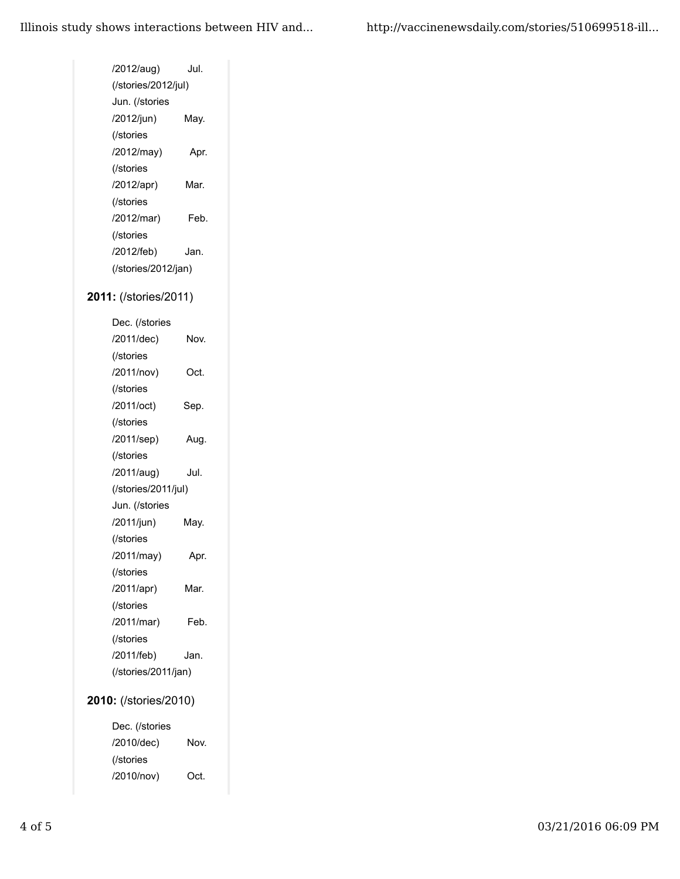| Jul.                  |  |  |
|-----------------------|--|--|
| (/stories/2012/jul)   |  |  |
|                       |  |  |
| May.                  |  |  |
|                       |  |  |
| Apr.                  |  |  |
|                       |  |  |
| Mar.                  |  |  |
|                       |  |  |
| Feb.                  |  |  |
|                       |  |  |
| Jan.                  |  |  |
| (/stories/2012/jan)   |  |  |
| 2011: (/stories/2011) |  |  |
|                       |  |  |
|                       |  |  |
| Nov.                  |  |  |
|                       |  |  |
| Oct.                  |  |  |
|                       |  |  |
| Sep.                  |  |  |
|                       |  |  |
| Aug.                  |  |  |
|                       |  |  |
| Jul.                  |  |  |
| (/stories/2011/jul)   |  |  |
|                       |  |  |
| May.                  |  |  |
|                       |  |  |
| Apr.                  |  |  |
|                       |  |  |
| Mar.                  |  |  |
|                       |  |  |
| Feb.                  |  |  |
|                       |  |  |
| Jan.                  |  |  |
| (/stories/2011/jan)   |  |  |
| 2010: (/stories/2010) |  |  |
|                       |  |  |

Dec. (/stories /2010/dec) Nov. (/stories /2010/nov) Oct.